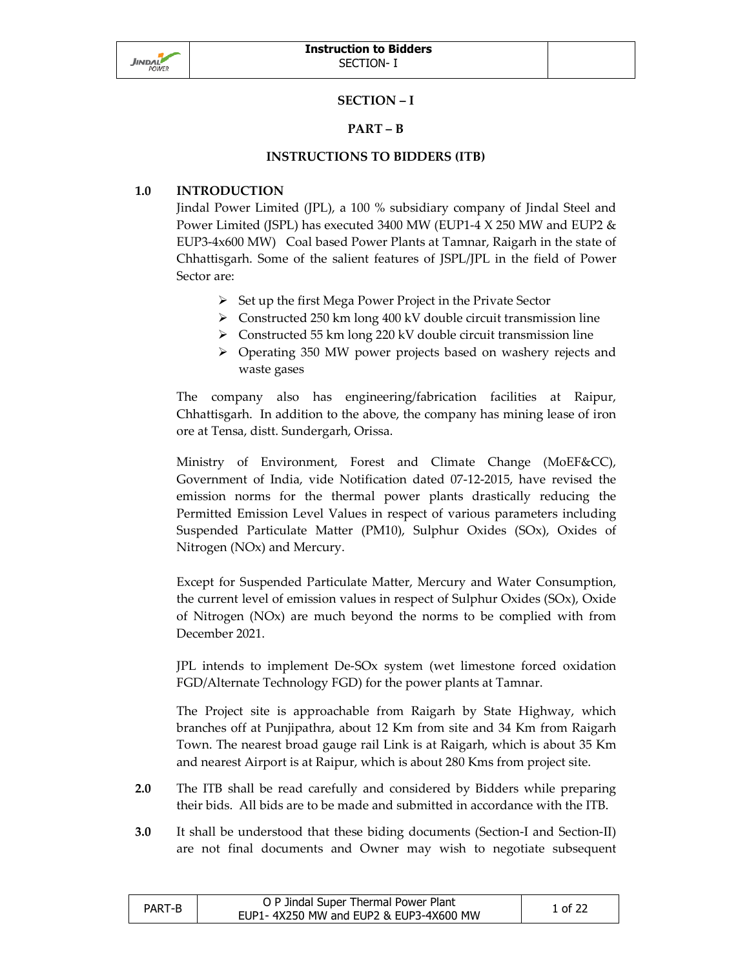

## **SECTION – I**

# **PART – B**

#### **INSTRUCTIONS TO BIDDERS (ITB)**

## **1.0 INTRODUCTION**

Jindal Power Limited (JPL), a 100 % subsidiary company of Jindal Steel and Power Limited (JSPL) has executed 3400 MW (EUP1-4 X 250 MW and EUP2 & EUP3-4x600 MW) Coal based Power Plants at Tamnar, Raigarh in the state of Chhattisgarh. Some of the salient features of JSPL/JPL in the field of Power Sector are:

- $\triangleright$  Set up the first Mega Power Project in the Private Sector
- $\triangleright$  Constructed 250 km long 400 kV double circuit transmission line
- $\triangleright$  Constructed 55 km long 220 kV double circuit transmission line
- Operating 350 MW power projects based on washery rejects and waste gases

The company also has engineering/fabrication facilities at Raipur, Chhattisgarh. In addition to the above, the company has mining lease of iron ore at Tensa, distt. Sundergarh, Orissa.

Ministry of Environment, Forest and Climate Change (MoEF&CC), Government of India, vide Notification dated 07-12-2015, have revised the emission norms for the thermal power plants drastically reducing the Permitted Emission Level Values in respect of various parameters including Suspended Particulate Matter (PM10), Sulphur Oxides (SOx), Oxides of Nitrogen (NOx) and Mercury.

Except for Suspended Particulate Matter, Mercury and Water Consumption, the current level of emission values in respect of Sulphur Oxides (SOx), Oxide of Nitrogen (NOx) are much beyond the norms to be complied with from December 2021.

JPL intends to implement De-SOx system (wet limestone forced oxidation FGD/Alternate Technology FGD) for the power plants at Tamnar.

The Project site is approachable from Raigarh by State Highway, which branches off at Punjipathra, about 12 Km from site and 34 Km from Raigarh Town. The nearest broad gauge rail Link is at Raigarh, which is about 35 Km and nearest Airport is at Raipur, which is about 280 Kms from project site.

- **2.0** The ITB shall be read carefully and considered by Bidders while preparing their bids. All bids are to be made and submitted in accordance with the ITB.
- **3.0** It shall be understood that these biding documents (Section-I and Section-II) are not final documents and Owner may wish to negotiate subsequent

| PART-B | O P Jindal Super Thermal Power Plant   | 1 of 22 |
|--------|----------------------------------------|---------|
|        | EUP1-4X250 MW and EUP2 & EUP3-4X600 MW |         |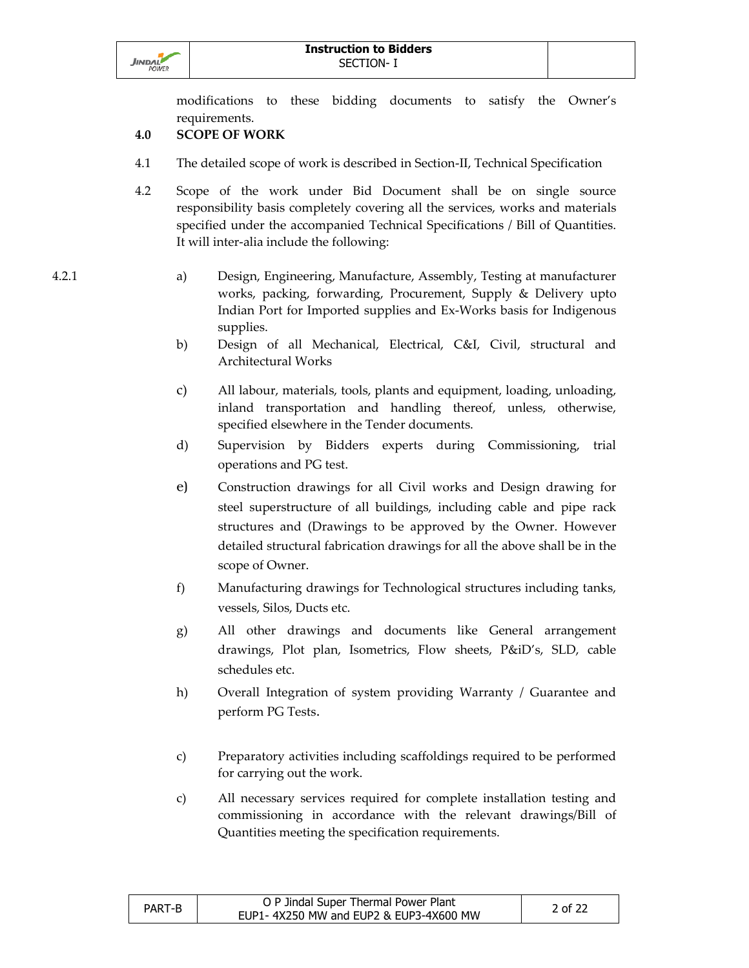

modifications to these bidding documents to satisfy the Owner's requirements.

# **4.0 SCOPE OF WORK**

- 4.1 The detailed scope of work is described in Section-II, Technical Specification
- 4.2 Scope of the work under Bid Document shall be on single source responsibility basis completely covering all the services, works and materials specified under the accompanied Technical Specifications / Bill of Quantities. It will inter-alia include the following:

- 4.2.1 a) Design, Engineering, Manufacture, Assembly, Testing at manufacturer works, packing, forwarding, Procurement, Supply & Delivery upto Indian Port for Imported supplies and Ex-Works basis for Indigenous supplies.
	- b) Design of all Mechanical, Electrical, C&I, Civil, structural and Architectural Works
	- c) All labour, materials, tools, plants and equipment, loading, unloading, inland transportation and handling thereof, unless, otherwise, specified elsewhere in the Tender documents.
	- d) Supervision by Bidders experts during Commissioning, trial operations and PG test.
	- e) Construction drawings for all Civil works and Design drawing for steel superstructure of all buildings, including cable and pipe rack structures and (Drawings to be approved by the Owner. However detailed structural fabrication drawings for all the above shall be in the scope of Owner.
	- f) Manufacturing drawings for Technological structures including tanks, vessels, Silos, Ducts etc.
	- g) All other drawings and documents like General arrangement drawings, Plot plan, Isometrics, Flow sheets, P&iD's, SLD, cable schedules etc.
	- h) Overall Integration of system providing Warranty / Guarantee and perform PG Tests.
	- c) Preparatory activities including scaffoldings required to be performed for carrying out the work.
	- c) All necessary services required for complete installation testing and commissioning in accordance with the relevant drawings/Bill of Quantities meeting the specification requirements.

| PART-B | O P Jindal Super Thermal Power Plant   | 2 of 22 |
|--------|----------------------------------------|---------|
|        | EUP1-4X250 MW and EUP2 & EUP3-4X600 MW |         |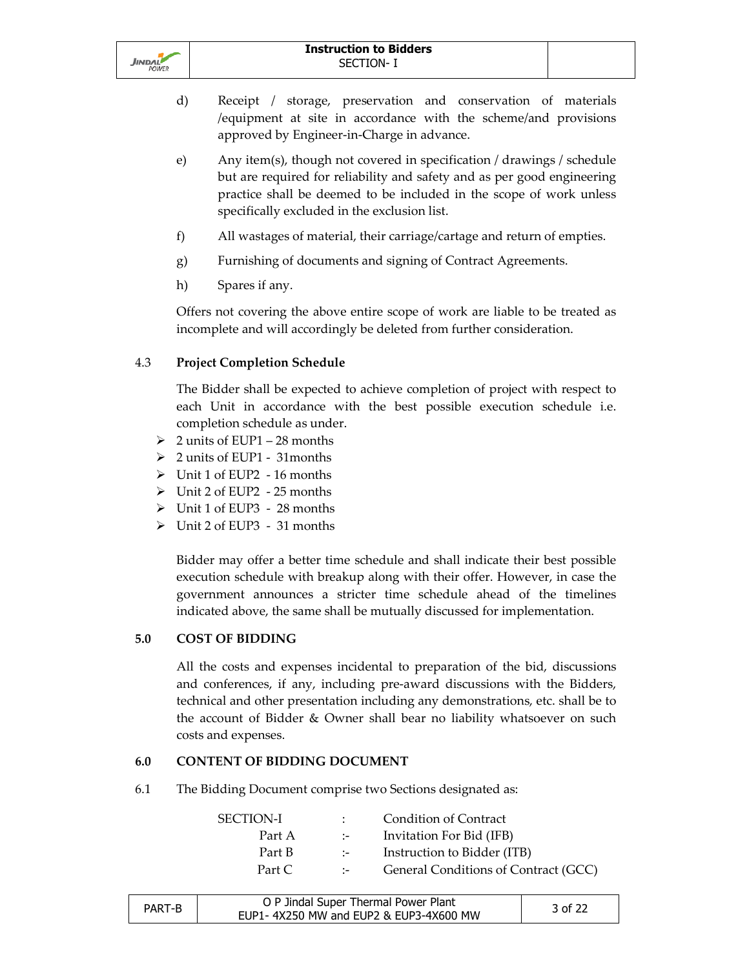

- d) Receipt / storage, preservation and conservation of materials /equipment at site in accordance with the scheme/and provisions approved by Engineer-in-Charge in advance.
- e) Any item(s), though not covered in specification / drawings / schedule but are required for reliability and safety and as per good engineering practice shall be deemed to be included in the scope of work unless specifically excluded in the exclusion list.
- f) All wastages of material, their carriage/cartage and return of empties.
- g) Furnishing of documents and signing of Contract Agreements.
- h) Spares if any.

Offers not covering the above entire scope of work are liable to be treated as incomplete and will accordingly be deleted from further consideration.

# 4.3 **Project Completion Schedule**

 The Bidder shall be expected to achieve completion of project with respect to each Unit in accordance with the best possible execution schedule i.e. completion schedule as under.

- $\geq 2$  units of EUP1 28 months
- 2 units of EUP1 31months
- $\triangleright$  Unit 1 of EUP2 16 months
- Unit 2 of EUP2 25 months
- Unit 1 of EUP3 28 months
- Unit 2 of EUP3 31 months

Bidder may offer a better time schedule and shall indicate their best possible execution schedule with breakup along with their offer. However, in case the government announces a stricter time schedule ahead of the timelines indicated above, the same shall be mutually discussed for implementation.

## **5.0 COST OF BIDDING**

All the costs and expenses incidental to preparation of the bid, discussions and conferences, if any, including pre-award discussions with the Bidders, technical and other presentation including any demonstrations, etc. shall be to the account of Bidder & Owner shall bear no liability whatsoever on such costs and expenses.

#### **6.0 CONTENT OF BIDDING DOCUMENT**

6.1 The Bidding Document comprise two Sections designated as:

| $\sim$ 100 $\mu$            | Condition of Contract                |
|-----------------------------|--------------------------------------|
| $\sim$ 1-1 $\sim$           | Invitation For Bid (IFB)             |
| $\sim$ $-$                  | Instruction to Bidder (ITB)          |
| $\mathcal{L} = \mathcal{L}$ | General Conditions of Contract (GCC) |
|                             |                                      |

| PART-B | O P Jindal Super Thermal Power Plant   | 3 of 22 |
|--------|----------------------------------------|---------|
|        | EUP1-4X250 MW and EUP2 & EUP3-4X600 MW |         |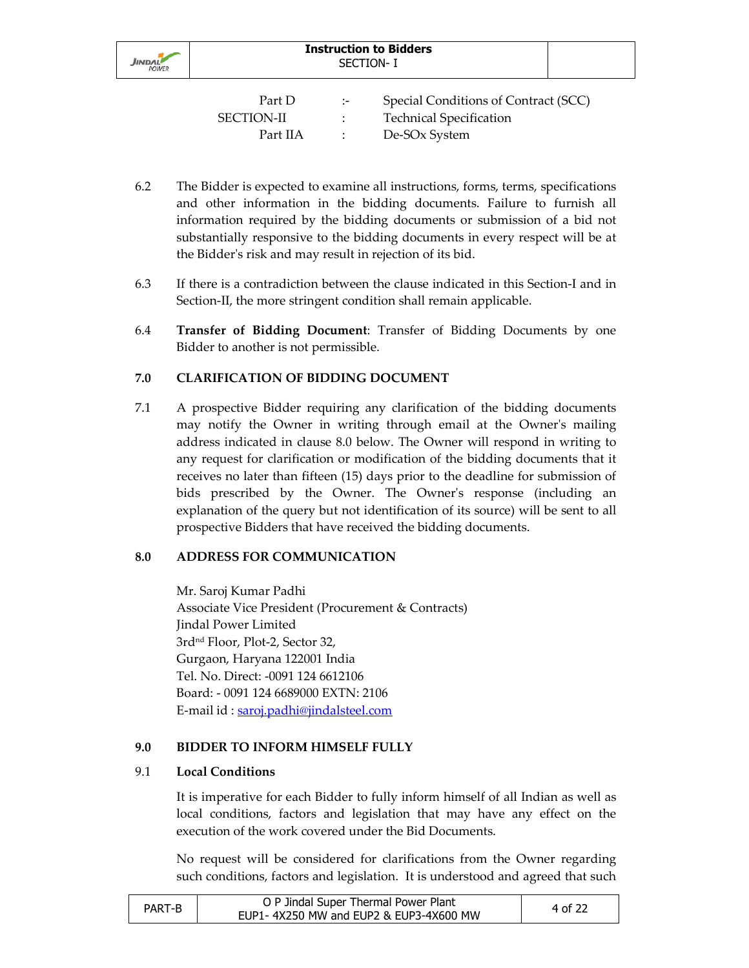

| Part D            | $\cdot$ . | Special Conditions of Contract (SCC) |
|-------------------|-----------|--------------------------------------|
| <b>SECTION-II</b> |           | <b>Technical Specification</b>       |
| Part IIA          |           | De-SOx System                        |

- 6.2 The Bidder is expected to examine all instructions, forms, terms, specifications and other information in the bidding documents. Failure to furnish all information required by the bidding documents or submission of a bid not substantially responsive to the bidding documents in every respect will be at the Bidder's risk and may result in rejection of its bid.
- 6.3 If there is a contradiction between the clause indicated in this Section-I and in Section-II, the more stringent condition shall remain applicable.
- 6.4 **Transfer of Bidding Document**: Transfer of Bidding Documents by one Bidder to another is not permissible.

# **7.0 CLARIFICATION OF BIDDING DOCUMENT**

7.1 A prospective Bidder requiring any clarification of the bidding documents may notify the Owner in writing through email at the Owner's mailing address indicated in clause 8.0 below. The Owner will respond in writing to any request for clarification or modification of the bidding documents that it receives no later than fifteen (15) days prior to the deadline for submission of bids prescribed by the Owner. The Owner's response (including an explanation of the query but not identification of its source) will be sent to all prospective Bidders that have received the bidding documents.

## **8.0 ADDRESS FOR COMMUNICATION**

Mr. Saroj Kumar Padhi Associate Vice President (Procurement & Contracts) Jindal Power Limited 3rdnd Floor, Plot-2, Sector 32, Gurgaon, Haryana 122001 India Tel. No. Direct: -0091 124 6612106 Board: - 0091 124 6689000 EXTN: 2106 E-mail id : saroj.padhi@jindalsteel.com

## **9.0 BIDDER TO INFORM HIMSELF FULLY**

#### 9.1 **Local Conditions**

It is imperative for each Bidder to fully inform himself of all Indian as well as local conditions, factors and legislation that may have any effect on the execution of the work covered under the Bid Documents.

No request will be considered for clarifications from the Owner regarding such conditions, factors and legislation. It is understood and agreed that such

| PART-B | O P Jindal Super Thermal Power Plant   | 4 of 22 |
|--------|----------------------------------------|---------|
|        | EUP1-4X250 MW and EUP2 & EUP3-4X600 MW |         |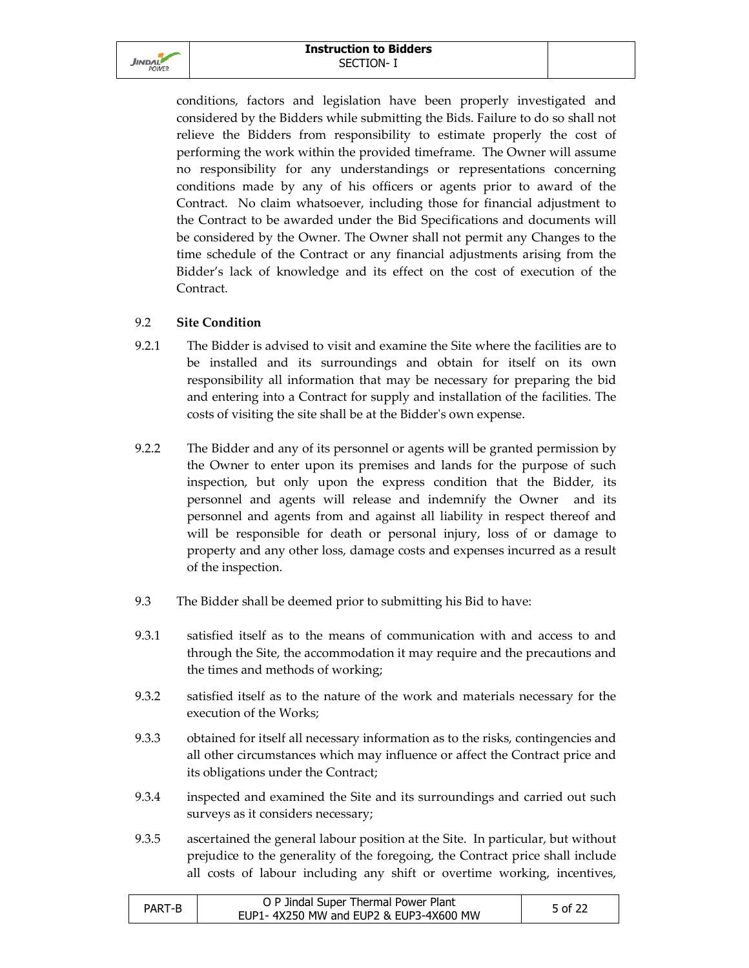

conditions, factors and legislation have been properly investigated and considered by the Bidders while submitting the Bids. Failure to do so shall not relieve the Bidders from responsibility to estimate properly the cost of performing the work within the provided timeframe. The Owner will assume no responsibility for any understandings or representations concerning conditions made by any of his officers or agents prior to award of the Contract. No claim whatsoever, including those for financial adjustment to the Contract to be awarded under the Bid Specifications and documents will be considered by the Owner. The Owner shall not permit any Changes to the time schedule of the Contract or any financial adjustments arising from the Bidder's lack of knowledge and its effect on the cost of execution of the Contract.

# 9.2 **Site Condition**

- 9.2.1 The Bidder is advised to visit and examine the Site where the facilities are to be installed and its surroundings and obtain for itself on its own responsibility all information that may be necessary for preparing the bid and entering into a Contract for supply and installation of the facilities. The costs of visiting the site shall be at the Bidder's own expense.
- 9.2.2 The Bidder and any of its personnel or agents will be granted permission by the Owner to enter upon its premises and lands for the purpose of such inspection, but only upon the express condition that the Bidder, its personnel and agents will release and indemnify the Owner and its personnel and agents from and against all liability in respect thereof and will be responsible for death or personal injury, loss of or damage to property and any other loss, damage costs and expenses incurred as a result of the inspection.
- 9.3 The Bidder shall be deemed prior to submitting his Bid to have:
- 9.3.1 satisfied itself as to the means of communication with and access to and through the Site, the accommodation it may require and the precautions and the times and methods of working;
- 9.3.2 satisfied itself as to the nature of the work and materials necessary for the execution of the Works;
- 9.3.3 obtained for itself all necessary information as to the risks, contingencies and all other circumstances which may influence or affect the Contract price and its obligations under the Contract;
- 9.3.4 inspected and examined the Site and its surroundings and carried out such surveys as it considers necessary;
- 9.3.5 ascertained the general labour position at the Site. In particular, but without prejudice to the generality of the foregoing, the Contract price shall include all costs of labour including any shift or overtime working, incentives,

| PART-B | O P Jindal Super Thermal Power Plant   | 5 of 22 |
|--------|----------------------------------------|---------|
|        | EUP1-4X250 MW and EUP2 & EUP3-4X600 MW |         |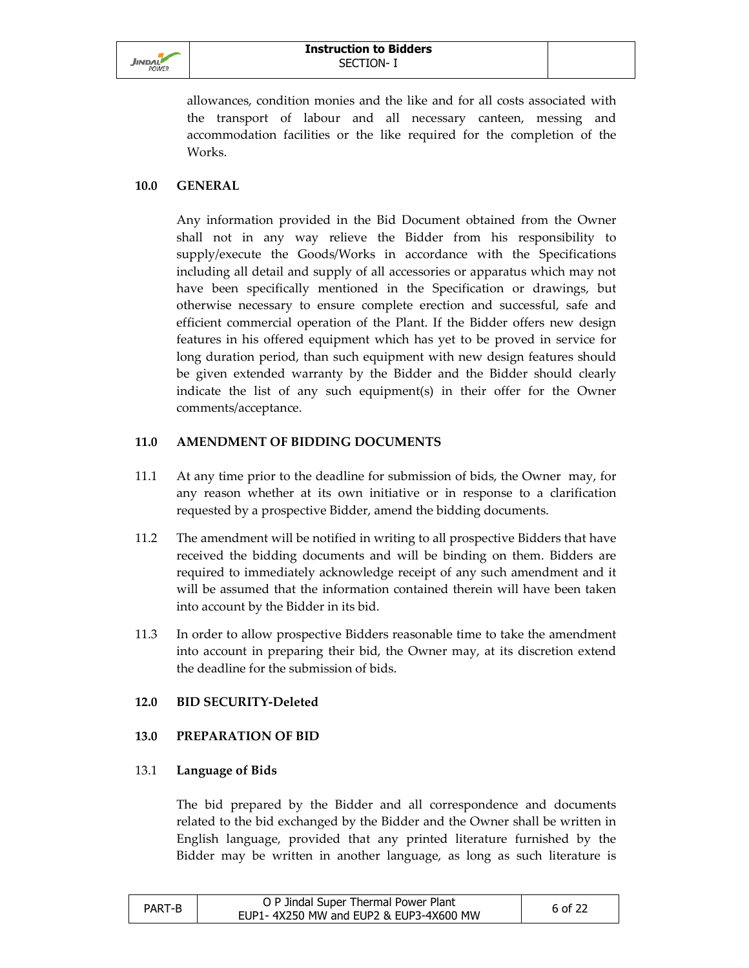

allowances, condition monies and the like and for all costs associated with the transport of labour and all necessary canteen, messing and accommodation facilities or the like required for the completion of the Works.

## **10.0 GENERAL**

Any information provided in the Bid Document obtained from the Owner shall not in any way relieve the Bidder from his responsibility to supply/execute the Goods/Works in accordance with the Specifications including all detail and supply of all accessories or apparatus which may not have been specifically mentioned in the Specification or drawings, but otherwise necessary to ensure complete erection and successful, safe and efficient commercial operation of the Plant. If the Bidder offers new design features in his offered equipment which has yet to be proved in service for long duration period, than such equipment with new design features should be given extended warranty by the Bidder and the Bidder should clearly indicate the list of any such equipment(s) in their offer for the Owner comments/acceptance.

#### **11.0 AMENDMENT OF BIDDING DOCUMENTS**

- 11.1 At any time prior to the deadline for submission of bids, the Owner may, for any reason whether at its own initiative or in response to a clarification requested by a prospective Bidder, amend the bidding documents.
- 11.2 The amendment will be notified in writing to all prospective Bidders that have received the bidding documents and will be binding on them. Bidders are required to immediately acknowledge receipt of any such amendment and it will be assumed that the information contained therein will have been taken into account by the Bidder in its bid.
- 11.3 In order to allow prospective Bidders reasonable time to take the amendment into account in preparing their bid, the Owner may, at its discretion extend the deadline for the submission of bids.

## **12.0 BID SECURITY-Deleted**

## **13.0 PREPARATION OF BID**

#### 13.1 **Language of Bids**

The bid prepared by the Bidder and all correspondence and documents related to the bid exchanged by the Bidder and the Owner shall be written in English language, provided that any printed literature furnished by the Bidder may be written in another language, as long as such literature is

| PART-B | O P Jindal Super Thermal Power Plant   | 6 of 22 |
|--------|----------------------------------------|---------|
|        | EUP1-4X250 MW and EUP2 & EUP3-4X600 MW |         |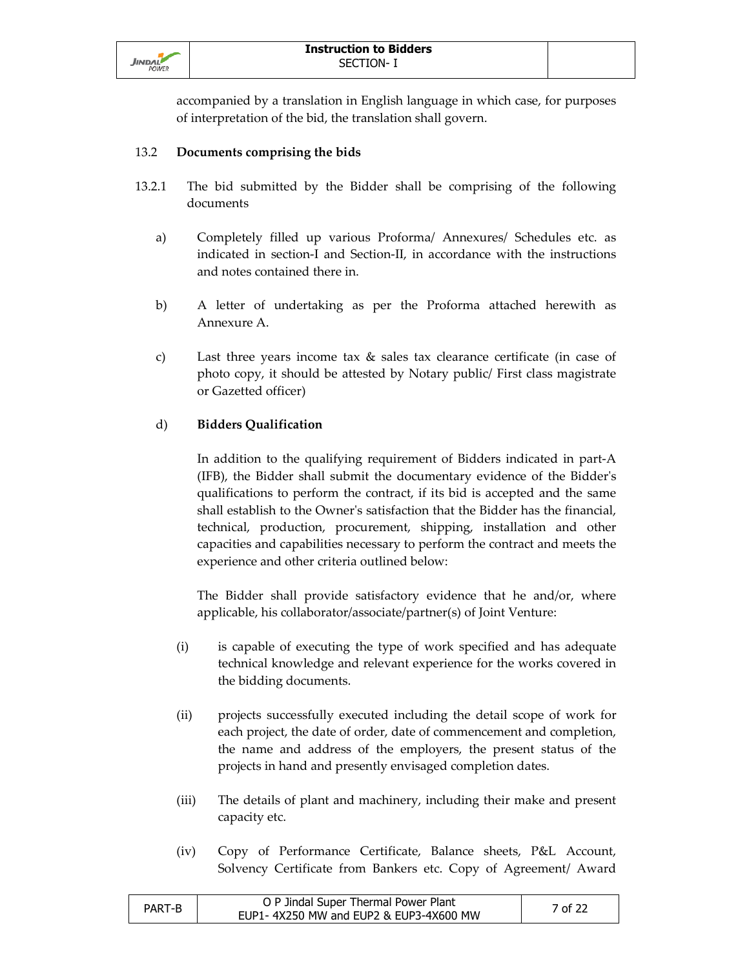

accompanied by a translation in English language in which case, for purposes of interpretation of the bid, the translation shall govern.

## 13.2 **Documents comprising the bids**

- 13.2.1 The bid submitted by the Bidder shall be comprising of the following documents
	- a) Completely filled up various Proforma/ Annexures/ Schedules etc. as indicated in section-I and Section-II, in accordance with the instructions and notes contained there in.
	- b) A letter of undertaking as per the Proforma attached herewith as Annexure A.
	- c) Last three years income tax & sales tax clearance certificate (in case of photo copy, it should be attested by Notary public/ First class magistrate or Gazetted officer)

# d) **Bidders Qualification**

In addition to the qualifying requirement of Bidders indicated in part-A (IFB), the Bidder shall submit the documentary evidence of the Bidder's qualifications to perform the contract, if its bid is accepted and the same shall establish to the Owner's satisfaction that the Bidder has the financial, technical, production, procurement, shipping, installation and other capacities and capabilities necessary to perform the contract and meets the experience and other criteria outlined below:

The Bidder shall provide satisfactory evidence that he and/or, where applicable, his collaborator/associate/partner(s) of Joint Venture:

- (i) is capable of executing the type of work specified and has adequate technical knowledge and relevant experience for the works covered in the bidding documents.
- (ii) projects successfully executed including the detail scope of work for each project, the date of order, date of commencement and completion, the name and address of the employers, the present status of the projects in hand and presently envisaged completion dates.
- (iii) The details of plant and machinery, including their make and present capacity etc.
- (iv) Copy of Performance Certificate, Balance sheets, P&L Account, Solvency Certificate from Bankers etc. Copy of Agreement/ Award

| PART-B | O P Jindal Super Thermal Power Plant   | 7 of 22 |
|--------|----------------------------------------|---------|
|        | EUP1-4X250 MW and EUP2 & EUP3-4X600 MW |         |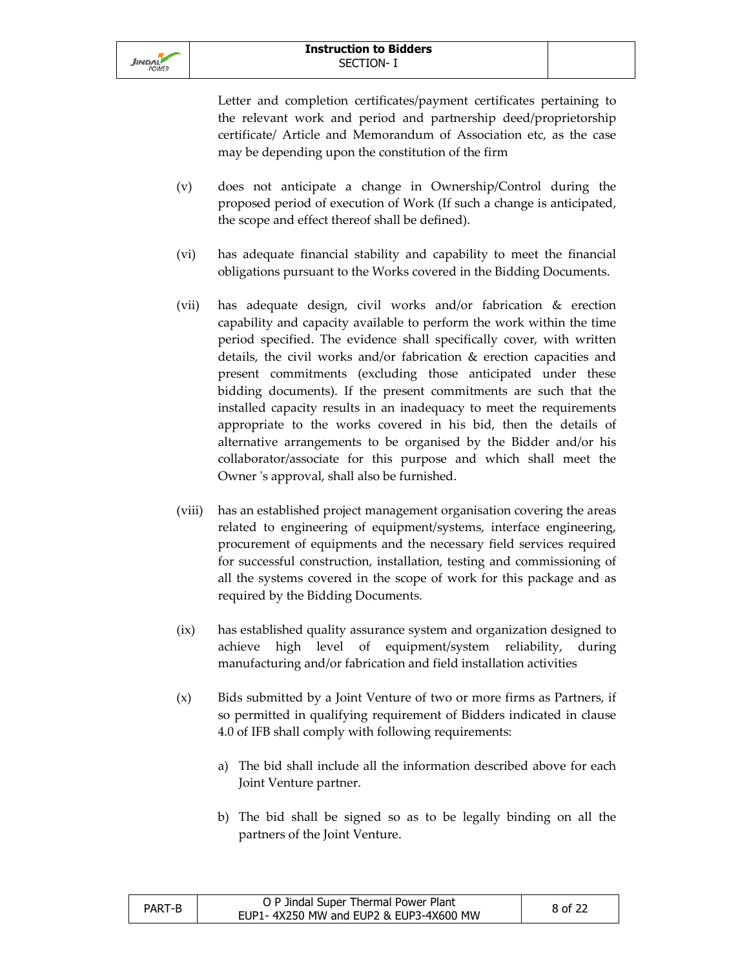Letter and completion certificates/payment certificates pertaining to the relevant work and period and partnership deed/proprietorship certificate/ Article and Memorandum of Association etc, as the case may be depending upon the constitution of the firm

- (v) does not anticipate a change in Ownership/Control during the proposed period of execution of Work (If such a change is anticipated, the scope and effect thereof shall be defined).
- (vi) has adequate financial stability and capability to meet the financial obligations pursuant to the Works covered in the Bidding Documents.
- (vii) has adequate design, civil works and/or fabrication & erection capability and capacity available to perform the work within the time period specified. The evidence shall specifically cover, with written details, the civil works and/or fabrication & erection capacities and present commitments (excluding those anticipated under these bidding documents). If the present commitments are such that the installed capacity results in an inadequacy to meet the requirements appropriate to the works covered in his bid, then the details of alternative arrangements to be organised by the Bidder and/or his collaborator/associate for this purpose and which shall meet the Owner 's approval, shall also be furnished.
- (viii) has an established project management organisation covering the areas related to engineering of equipment/systems, interface engineering, procurement of equipments and the necessary field services required for successful construction, installation, testing and commissioning of all the systems covered in the scope of work for this package and as required by the Bidding Documents.
- (ix) has established quality assurance system and organization designed to achieve high level of equipment/system reliability, during manufacturing and/or fabrication and field installation activities
- (x) Bids submitted by a Joint Venture of two or more firms as Partners, if so permitted in qualifying requirement of Bidders indicated in clause 4.0 of IFB shall comply with following requirements:
	- a) The bid shall include all the information described above for each Joint Venture partner.
	- b) The bid shall be signed so as to be legally binding on all the partners of the Joint Venture.

| PART-B | O P Jindal Super Thermal Power Plant   | 8 of 22 |
|--------|----------------------------------------|---------|
|        | EUP1-4X250 MW and EUP2 & EUP3-4X600 MW |         |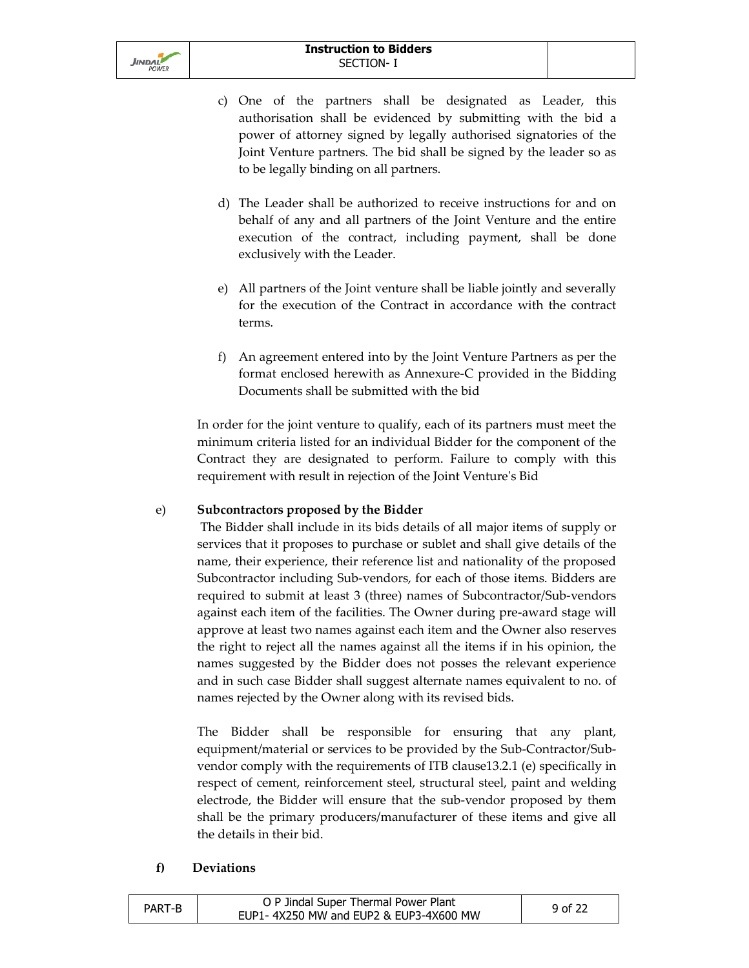

- c) One of the partners shall be designated as Leader, this authorisation shall be evidenced by submitting with the bid a power of attorney signed by legally authorised signatories of the Joint Venture partners. The bid shall be signed by the leader so as to be legally binding on all partners.
- d) The Leader shall be authorized to receive instructions for and on behalf of any and all partners of the Joint Venture and the entire execution of the contract, including payment, shall be done exclusively with the Leader.
- e) All partners of the Joint venture shall be liable jointly and severally for the execution of the Contract in accordance with the contract terms.
- f) An agreement entered into by the Joint Venture Partners as per the format enclosed herewith as Annexure-C provided in the Bidding Documents shall be submitted with the bid

In order for the joint venture to qualify, each of its partners must meet the minimum criteria listed for an individual Bidder for the component of the Contract they are designated to perform. Failure to comply with this requirement with result in rejection of the Joint Venture's Bid

## e) **Subcontractors proposed by the Bidder**

 The Bidder shall include in its bids details of all major items of supply or services that it proposes to purchase or sublet and shall give details of the name, their experience, their reference list and nationality of the proposed Subcontractor including Sub-vendors, for each of those items. Bidders are required to submit at least 3 (three) names of Subcontractor/Sub-vendors against each item of the facilities. The Owner during pre-award stage will approve at least two names against each item and the Owner also reserves the right to reject all the names against all the items if in his opinion, the names suggested by the Bidder does not posses the relevant experience and in such case Bidder shall suggest alternate names equivalent to no. of names rejected by the Owner along with its revised bids.

The Bidder shall be responsible for ensuring that any plant, equipment/material or services to be provided by the Sub-Contractor/Subvendor comply with the requirements of ITB clause13.2.1 (e) specifically in respect of cement, reinforcement steel, structural steel, paint and welding electrode, the Bidder will ensure that the sub-vendor proposed by them shall be the primary producers/manufacturer of these items and give all the details in their bid.

#### **f) Deviations**

| PART-B | O P Jindal Super Thermal Power Plant   | 9 of 22 |
|--------|----------------------------------------|---------|
|        | EUP1-4X250 MW and EUP2 & EUP3-4X600 MW |         |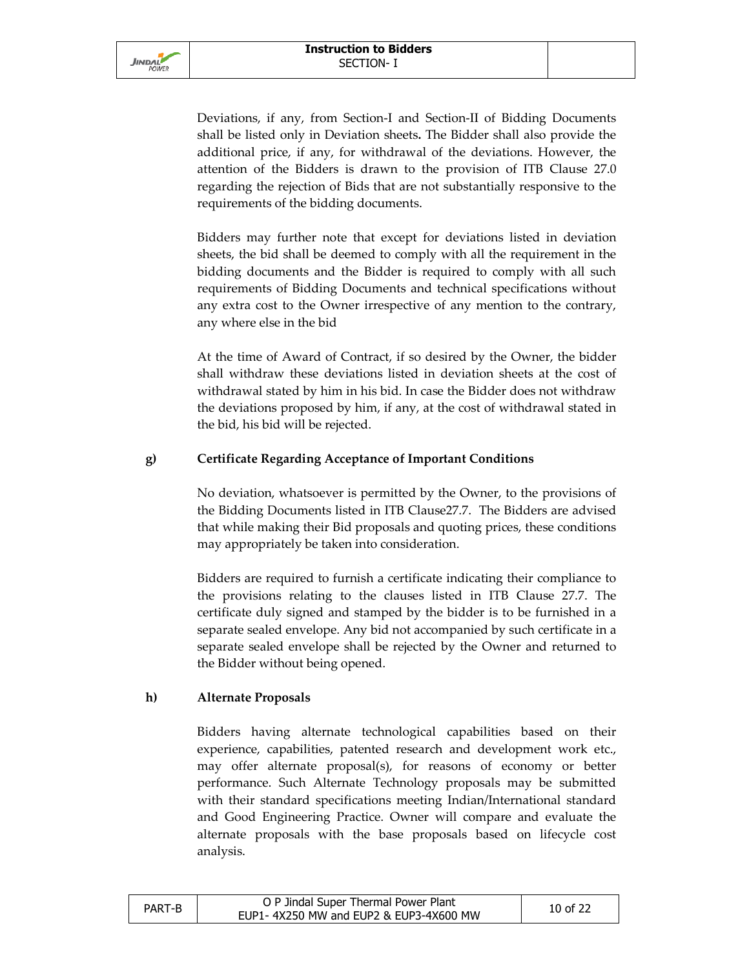Deviations, if any, from Section-I and Section-II of Bidding Documents shall be listed only in Deviation sheets**.** The Bidder shall also provide the additional price, if any, for withdrawal of the deviations. However, the attention of the Bidders is drawn to the provision of ITB Clause 27.0 regarding the rejection of Bids that are not substantially responsive to the requirements of the bidding documents.

Bidders may further note that except for deviations listed in deviation sheets, the bid shall be deemed to comply with all the requirement in the bidding documents and the Bidder is required to comply with all such requirements of Bidding Documents and technical specifications without any extra cost to the Owner irrespective of any mention to the contrary, any where else in the bid

At the time of Award of Contract, if so desired by the Owner, the bidder shall withdraw these deviations listed in deviation sheets at the cost of withdrawal stated by him in his bid. In case the Bidder does not withdraw the deviations proposed by him, if any, at the cost of withdrawal stated in the bid, his bid will be rejected.

# **g) Certificate Regarding Acceptance of Important Conditions**

No deviation, whatsoever is permitted by the Owner, to the provisions of the Bidding Documents listed in ITB Clause27.7. The Bidders are advised that while making their Bid proposals and quoting prices, these conditions may appropriately be taken into consideration.

Bidders are required to furnish a certificate indicating their compliance to the provisions relating to the clauses listed in ITB Clause 27.7. The certificate duly signed and stamped by the bidder is to be furnished in a separate sealed envelope. Any bid not accompanied by such certificate in a separate sealed envelope shall be rejected by the Owner and returned to the Bidder without being opened.

# **h) Alternate Proposals**

Bidders having alternate technological capabilities based on their experience, capabilities, patented research and development work etc., may offer alternate proposal(s), for reasons of economy or better performance. Such Alternate Technology proposals may be submitted with their standard specifications meeting Indian/International standard and Good Engineering Practice. Owner will compare and evaluate the alternate proposals with the base proposals based on lifecycle cost analysis.

| PART-B | O P Jindal Super Thermal Power Plant   | 10 of 22 |
|--------|----------------------------------------|----------|
|        | EUP1-4X250 MW and EUP2 & EUP3-4X600 MW |          |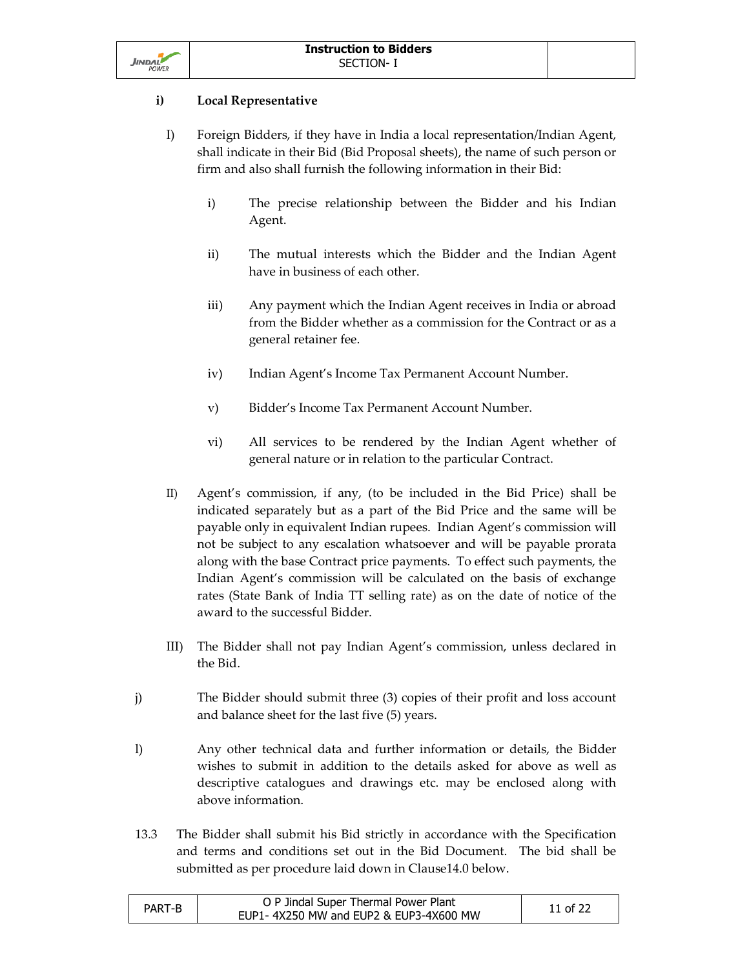

# **i) Local Representative**

- I) Foreign Bidders, if they have in India a local representation/Indian Agent, shall indicate in their Bid (Bid Proposal sheets), the name of such person or firm and also shall furnish the following information in their Bid:
	- i) The precise relationship between the Bidder and his Indian Agent.
	- ii) The mutual interests which the Bidder and the Indian Agent have in business of each other.
	- iii) Any payment which the Indian Agent receives in India or abroad from the Bidder whether as a commission for the Contract or as a general retainer fee.
	- iv) Indian Agent's Income Tax Permanent Account Number.
	- v) Bidder's Income Tax Permanent Account Number.
	- vi) All services to be rendered by the Indian Agent whether of general nature or in relation to the particular Contract.
- II) Agent's commission, if any, (to be included in the Bid Price) shall be indicated separately but as a part of the Bid Price and the same will be payable only in equivalent Indian rupees. Indian Agent's commission will not be subject to any escalation whatsoever and will be payable prorata along with the base Contract price payments. To effect such payments, the Indian Agent's commission will be calculated on the basis of exchange rates (State Bank of India TT selling rate) as on the date of notice of the award to the successful Bidder.
- III) The Bidder shall not pay Indian Agent's commission, unless declared in the Bid.
- j) The Bidder should submit three (3) copies of their profit and loss account and balance sheet for the last five (5) years.
- l)Any other technical data and further information or details, the Bidder wishes to submit in addition to the details asked for above as well as descriptive catalogues and drawings etc. may be enclosed along with above information.
- 13.3 The Bidder shall submit his Bid strictly in accordance with the Specification and terms and conditions set out in the Bid Document. The bid shall be submitted as per procedure laid down in Clause14.0 below.

| PART-B | O P Jindal Super Thermal Power Plant   | 11 of 22 |
|--------|----------------------------------------|----------|
|        | EUP1-4X250 MW and EUP2 & EUP3-4X600 MW |          |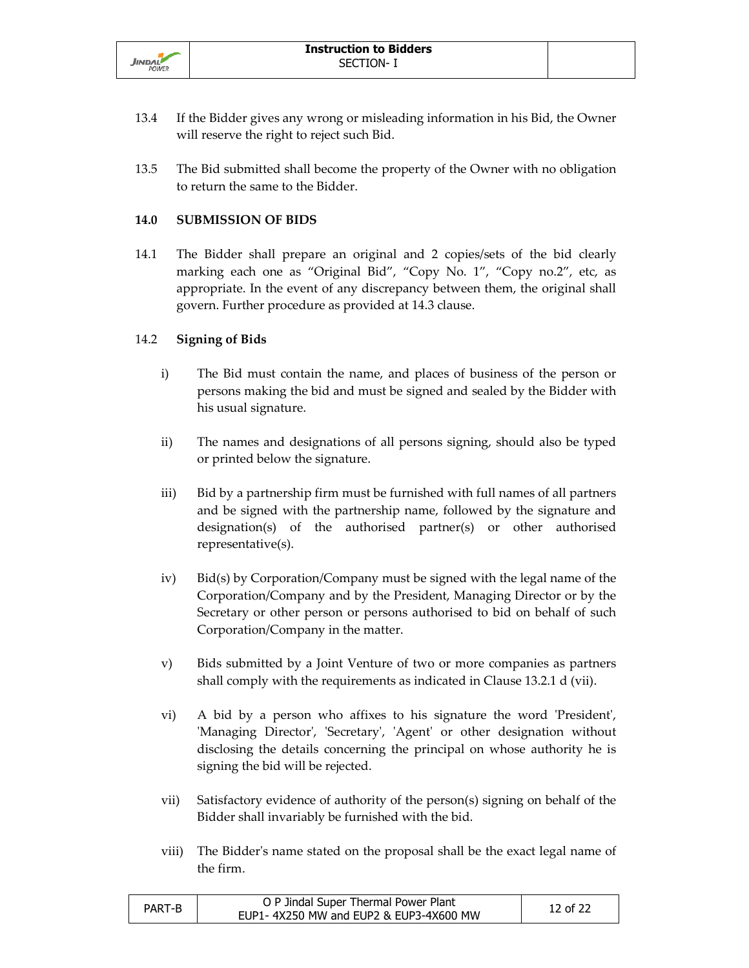

- 13.4 If the Bidder gives any wrong or misleading information in his Bid, the Owner will reserve the right to reject such Bid.
- 13.5 The Bid submitted shall become the property of the Owner with no obligation to return the same to the Bidder.

## **14.0 SUBMISSION OF BIDS**

14.1 The Bidder shall prepare an original and 2 copies/sets of the bid clearly marking each one as "Original Bid", "Copy No. 1", "Copy no.2", etc, as appropriate. In the event of any discrepancy between them, the original shall govern. Further procedure as provided at 14.3 clause.

#### 14.2 **Signing of Bids**

- i) The Bid must contain the name, and places of business of the person or persons making the bid and must be signed and sealed by the Bidder with his usual signature.
- ii) The names and designations of all persons signing, should also be typed or printed below the signature.
- iii) Bid by a partnership firm must be furnished with full names of all partners and be signed with the partnership name, followed by the signature and designation(s) of the authorised partner(s) or other authorised representative(s).
- iv) Bid(s) by Corporation/Company must be signed with the legal name of the Corporation/Company and by the President, Managing Director or by the Secretary or other person or persons authorised to bid on behalf of such Corporation/Company in the matter.
- v) Bids submitted by a Joint Venture of two or more companies as partners shall comply with the requirements as indicated in Clause 13.2.1 d (vii).
- vi) A bid by a person who affixes to his signature the word 'President', 'Managing Director', 'Secretary', 'Agent' or other designation without disclosing the details concerning the principal on whose authority he is signing the bid will be rejected.
- vii) Satisfactory evidence of authority of the person(s) signing on behalf of the Bidder shall invariably be furnished with the bid.
- viii) The Bidder's name stated on the proposal shall be the exact legal name of the firm.

| PART-B | O P Jindal Super Thermal Power Plant   | 12 of 22 |
|--------|----------------------------------------|----------|
|        | EUP1-4X250 MW and EUP2 & EUP3-4X600 MW |          |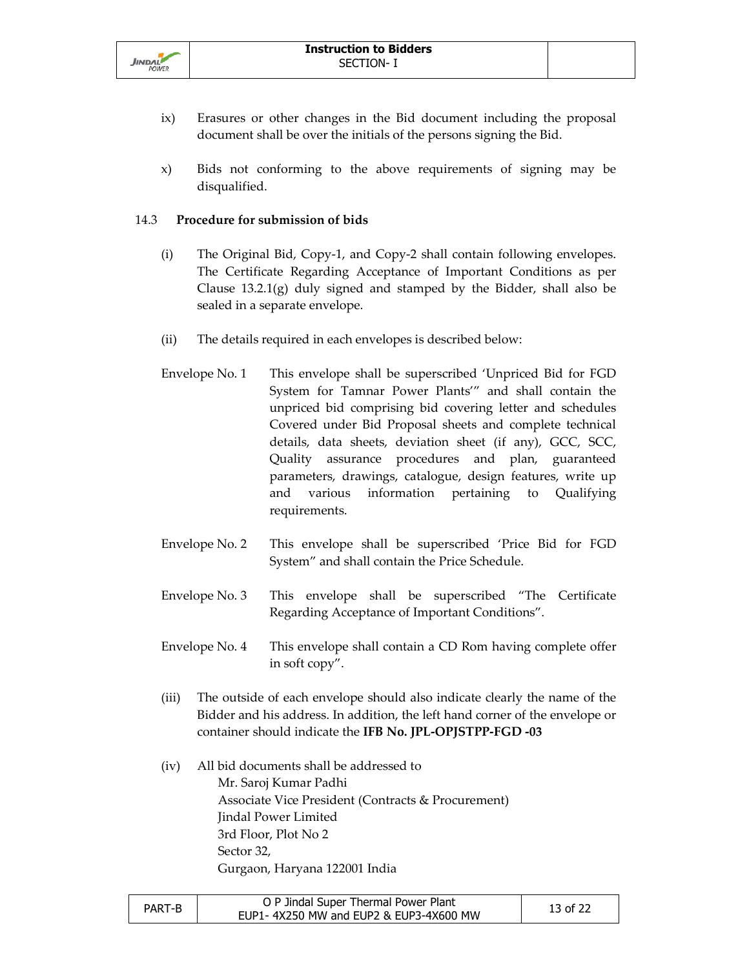

- ix) Erasures or other changes in the Bid document including the proposal document shall be over the initials of the persons signing the Bid.
- x) Bids not conforming to the above requirements of signing may be disqualified.

## 14.3 **Procedure for submission of bids**

- (i) The Original Bid, Copy-1, and Copy-2 shall contain following envelopes. The Certificate Regarding Acceptance of Important Conditions as per Clause 13.2.1(g) duly signed and stamped by the Bidder, shall also be sealed in a separate envelope.
- (ii) The details required in each envelopes is described below:
- Envelope No. 1 This envelope shall be superscribed 'Unpriced Bid for FGD System for Tamnar Power Plants'" and shall contain the unpriced bid comprising bid covering letter and schedules Covered under Bid Proposal sheets and complete technical details, data sheets, deviation sheet (if any), GCC, SCC, Quality assurance procedures and plan, guaranteed parameters, drawings, catalogue, design features, write up and various information pertaining to Qualifying requirements.
- Envelope No. 2 This envelope shall be superscribed 'Price Bid for FGD System" and shall contain the Price Schedule.
- Envelope No. 3 This envelope shall be superscribed "The Certificate Regarding Acceptance of Important Conditions".
- Envelope No. 4 This envelope shall contain a CD Rom having complete offer in soft copy".
- (iii) The outside of each envelope should also indicate clearly the name of the Bidder and his address. In addition, the left hand corner of the envelope or container should indicate the **IFB No. JPL-OPJSTPP-FGD -03**
- (iv) All bid documents shall be addressed to Mr. Saroj Kumar Padhi Associate Vice President (Contracts & Procurement) Jindal Power Limited 3rd Floor, Plot No 2 Sector 32, Gurgaon, Haryana 122001 India

| PART-B | O P Jindal Super Thermal Power Plant   | 13 of 22 |
|--------|----------------------------------------|----------|
|        | EUP1-4X250 MW and EUP2 & EUP3-4X600 MW |          |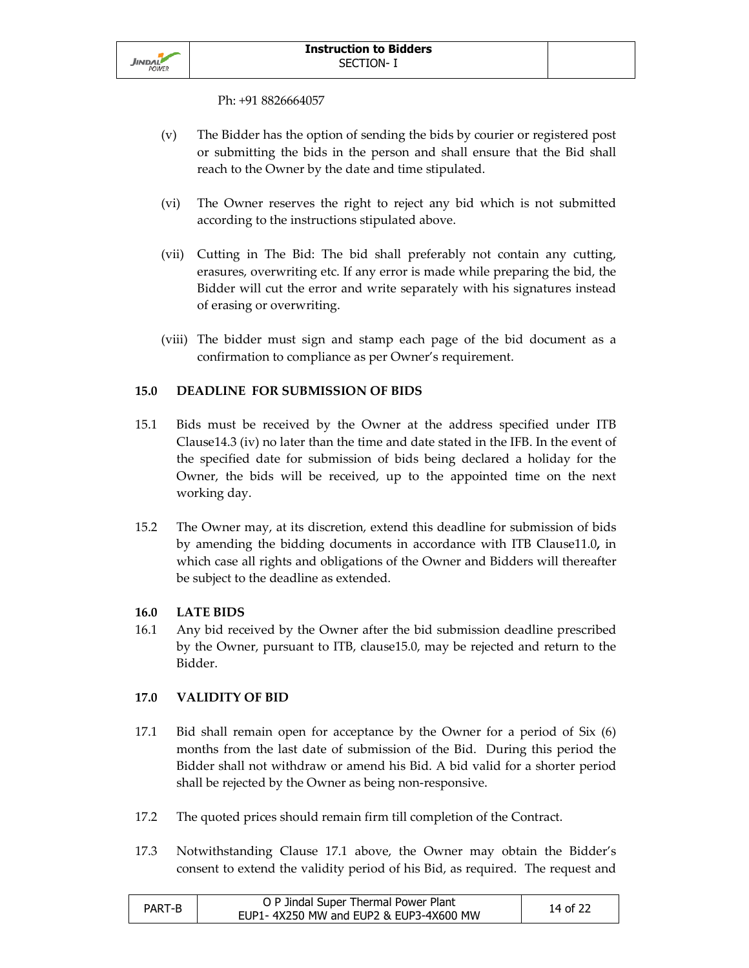

Ph: +91 8826664057

- (v) The Bidder has the option of sending the bids by courier or registered post or submitting the bids in the person and shall ensure that the Bid shall reach to the Owner by the date and time stipulated.
- (vi) The Owner reserves the right to reject any bid which is not submitted according to the instructions stipulated above.
- (vii) Cutting in The Bid: The bid shall preferably not contain any cutting, erasures, overwriting etc. If any error is made while preparing the bid, the Bidder will cut the error and write separately with his signatures instead of erasing or overwriting.
- (viii) The bidder must sign and stamp each page of the bid document as a confirmation to compliance as per Owner's requirement.

# **15.0 DEADLINE FOR SUBMISSION OF BIDS**

- 15.1 Bids must be received by the Owner at the address specified under ITB Clause14.3 (iv) no later than the time and date stated in the IFB. In the event of the specified date for submission of bids being declared a holiday for the Owner, the bids will be received, up to the appointed time on the next working day.
- 15.2 The Owner may, at its discretion, extend this deadline for submission of bids by amending the bidding documents in accordance with ITB Clause11.0**,** in which case all rights and obligations of the Owner and Bidders will thereafter be subject to the deadline as extended.

## **16.0 LATE BIDS**

16.1 Any bid received by the Owner after the bid submission deadline prescribed by the Owner, pursuant to ITB, clause15.0, may be rejected and return to the Bidder.

## **17.0 VALIDITY OF BID**

- 17.1 Bid shall remain open for acceptance by the Owner for a period of Six (6) months from the last date of submission of the Bid. During this period the Bidder shall not withdraw or amend his Bid. A bid valid for a shorter period shall be rejected by the Owner as being non-responsive.
- 17.2 The quoted prices should remain firm till completion of the Contract.
- 17.3 Notwithstanding Clause 17.1 above, the Owner may obtain the Bidder's consent to extend the validity period of his Bid, as required. The request and

| PART-B | O P Jindal Super Thermal Power Plant   | 14 of 22 |
|--------|----------------------------------------|----------|
|        | EUP1-4X250 MW and EUP2 & EUP3-4X600 MW |          |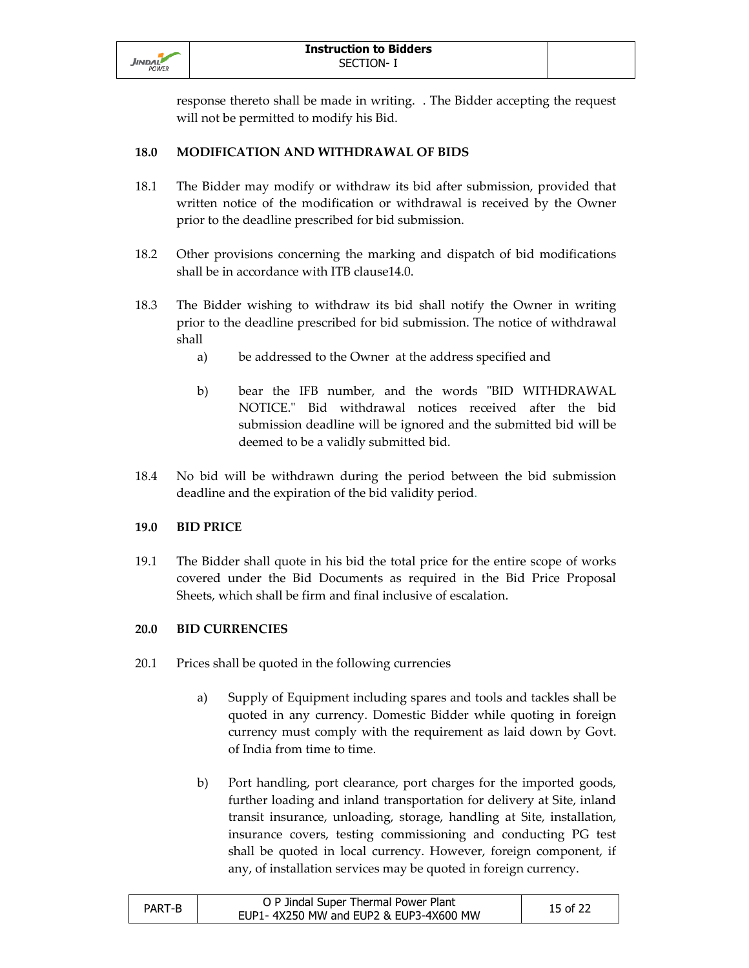

response thereto shall be made in writing. . The Bidder accepting the request will not be permitted to modify his Bid.

# **18.0 MODIFICATION AND WITHDRAWAL OF BIDS**

- 18.1 The Bidder may modify or withdraw its bid after submission, provided that written notice of the modification or withdrawal is received by the Owner prior to the deadline prescribed for bid submission.
- 18.2 Other provisions concerning the marking and dispatch of bid modifications shall be in accordance with ITB clause14.0.
- 18.3 The Bidder wishing to withdraw its bid shall notify the Owner in writing prior to the deadline prescribed for bid submission. The notice of withdrawal shall
	- a) be addressed to the Owner at the address specified and
	- b) bear the IFB number, and the words "BID WITHDRAWAL NOTICE." Bid withdrawal notices received after the bid submission deadline will be ignored and the submitted bid will be deemed to be a validly submitted bid.
- 18.4 No bid will be withdrawn during the period between the bid submission deadline and the expiration of the bid validity period.

## **19.0 BID PRICE**

19.1 The Bidder shall quote in his bid the total price for the entire scope of works covered under the Bid Documents as required in the Bid Price Proposal Sheets, which shall be firm and final inclusive of escalation.

## **20.0 BID CURRENCIES**

- 20.1 Prices shall be quoted in the following currencies
	- a) Supply of Equipment including spares and tools and tackles shall be quoted in any currency. Domestic Bidder while quoting in foreign currency must comply with the requirement as laid down by Govt. of India from time to time.
	- b) Port handling, port clearance, port charges for the imported goods, further loading and inland transportation for delivery at Site, inland transit insurance, unloading, storage, handling at Site, installation, insurance covers, testing commissioning and conducting PG test shall be quoted in local currency. However, foreign component, if any, of installation services may be quoted in foreign currency.

| PART-B | O P Jindal Super Thermal Power Plant   | 15 of 22 |
|--------|----------------------------------------|----------|
|        | EUP1-4X250 MW and EUP2 & EUP3-4X600 MW |          |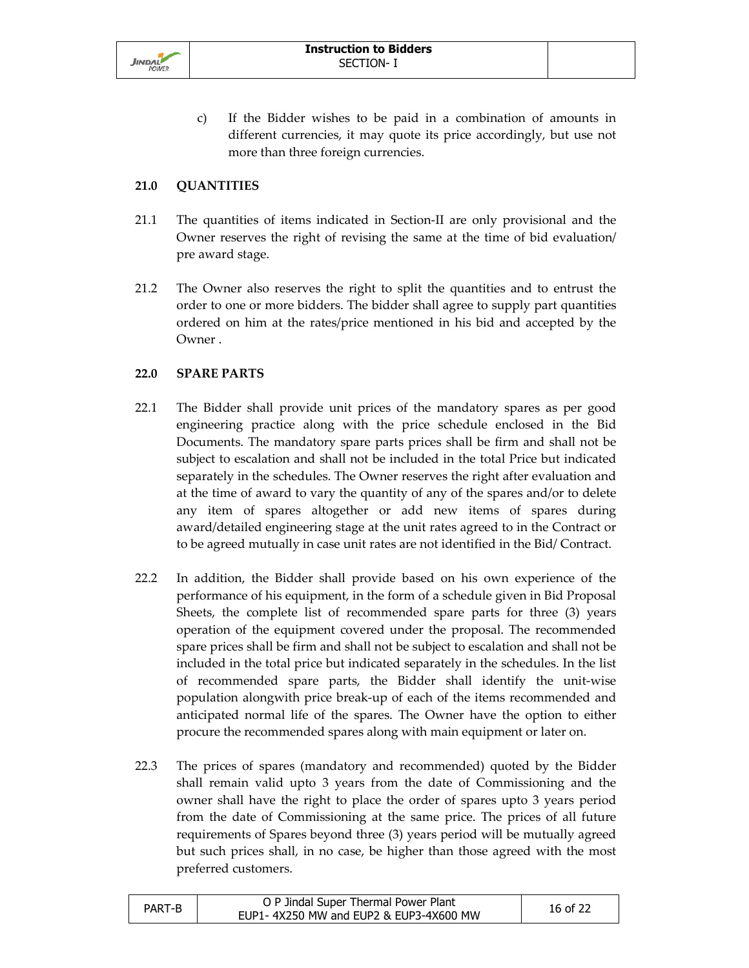

c) If the Bidder wishes to be paid in a combination of amounts in different currencies, it may quote its price accordingly, but use not more than three foreign currencies.

## **21.0 QUANTITIES**

- 21.1 The quantities of items indicated in Section-II are only provisional and the Owner reserves the right of revising the same at the time of bid evaluation/ pre award stage.
- 21.2 The Owner also reserves the right to split the quantities and to entrust the order to one or more bidders. The bidder shall agree to supply part quantities ordered on him at the rates/price mentioned in his bid and accepted by the Owner .

#### **22.0 SPARE PARTS**

- 22.1 The Bidder shall provide unit prices of the mandatory spares as per good engineering practice along with the price schedule enclosed in the Bid Documents. The mandatory spare parts prices shall be firm and shall not be subject to escalation and shall not be included in the total Price but indicated separately in the schedules. The Owner reserves the right after evaluation and at the time of award to vary the quantity of any of the spares and/or to delete any item of spares altogether or add new items of spares during award/detailed engineering stage at the unit rates agreed to in the Contract or to be agreed mutually in case unit rates are not identified in the Bid/ Contract.
- 22.2 In addition, the Bidder shall provide based on his own experience of the performance of his equipment, in the form of a schedule given in Bid Proposal Sheets, the complete list of recommended spare parts for three (3) years operation of the equipment covered under the proposal. The recommended spare prices shall be firm and shall not be subject to escalation and shall not be included in the total price but indicated separately in the schedules. In the list of recommended spare parts, the Bidder shall identify the unit-wise population alongwith price break-up of each of the items recommended and anticipated normal life of the spares. The Owner have the option to either procure the recommended spares along with main equipment or later on.
- 22.3 The prices of spares (mandatory and recommended) quoted by the Bidder shall remain valid upto 3 years from the date of Commissioning and the owner shall have the right to place the order of spares upto 3 years period from the date of Commissioning at the same price. The prices of all future requirements of Spares beyond three (3) years period will be mutually agreed but such prices shall, in no case, be higher than those agreed with the most preferred customers.

| PART-B | O P Jindal Super Thermal Power Plant   | 16 of 22 |
|--------|----------------------------------------|----------|
|        | EUP1-4X250 MW and EUP2 & EUP3-4X600 MW |          |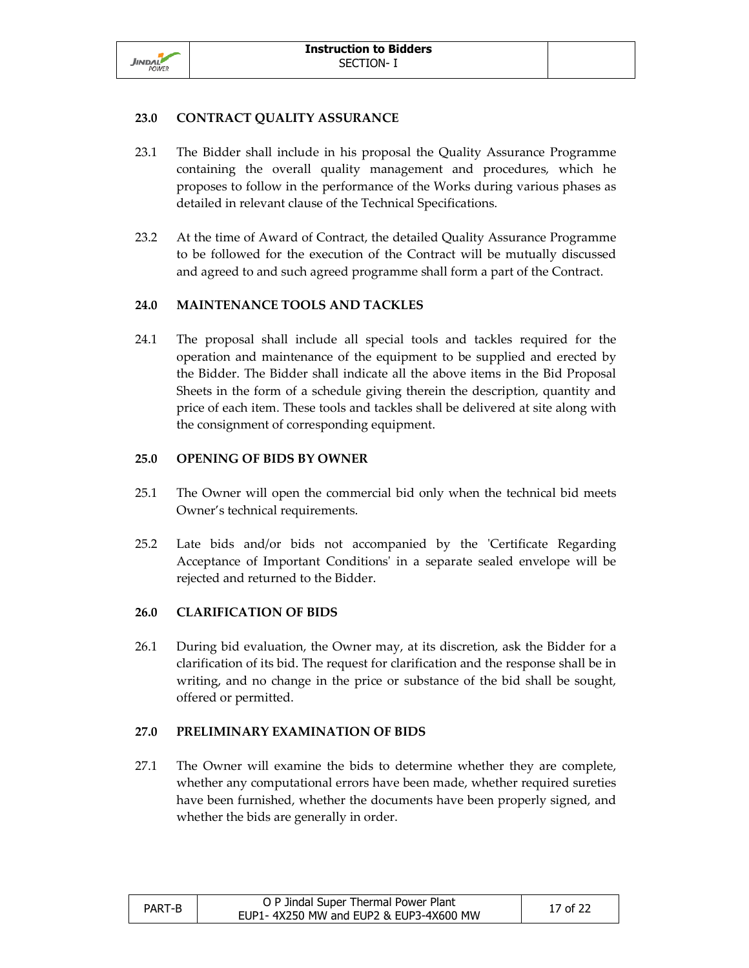

## **23.0 CONTRACT QUALITY ASSURANCE**

- 23.1 The Bidder shall include in his proposal the Quality Assurance Programme containing the overall quality management and procedures, which he proposes to follow in the performance of the Works during various phases as detailed in relevant clause of the Technical Specifications.
- 23.2 At the time of Award of Contract, the detailed Quality Assurance Programme to be followed for the execution of the Contract will be mutually discussed and agreed to and such agreed programme shall form a part of the Contract.

## **24.0 MAINTENANCE TOOLS AND TACKLES**

24.1 The proposal shall include all special tools and tackles required for the operation and maintenance of the equipment to be supplied and erected by the Bidder. The Bidder shall indicate all the above items in the Bid Proposal Sheets in the form of a schedule giving therein the description, quantity and price of each item. These tools and tackles shall be delivered at site along with the consignment of corresponding equipment.

## **25.0 OPENING OF BIDS BY OWNER**

- 25.1 The Owner will open the commercial bid only when the technical bid meets Owner's technical requirements.
- 25.2 Late bids and/or bids not accompanied by the 'Certificate Regarding Acceptance of Important Conditions' in a separate sealed envelope will be rejected and returned to the Bidder.

## **26.0 CLARIFICATION OF BIDS**

26.1 During bid evaluation, the Owner may, at its discretion, ask the Bidder for a clarification of its bid. The request for clarification and the response shall be in writing, and no change in the price or substance of the bid shall be sought, offered or permitted.

## **27.0 PRELIMINARY EXAMINATION OF BIDS**

27.1 The Owner will examine the bids to determine whether they are complete, whether any computational errors have been made, whether required sureties have been furnished, whether the documents have been properly signed, and whether the bids are generally in order.

| PART-B | O P Jindal Super Thermal Power Plant   | 17 of 22 |
|--------|----------------------------------------|----------|
|        | EUP1-4X250 MW and EUP2 & EUP3-4X600 MW |          |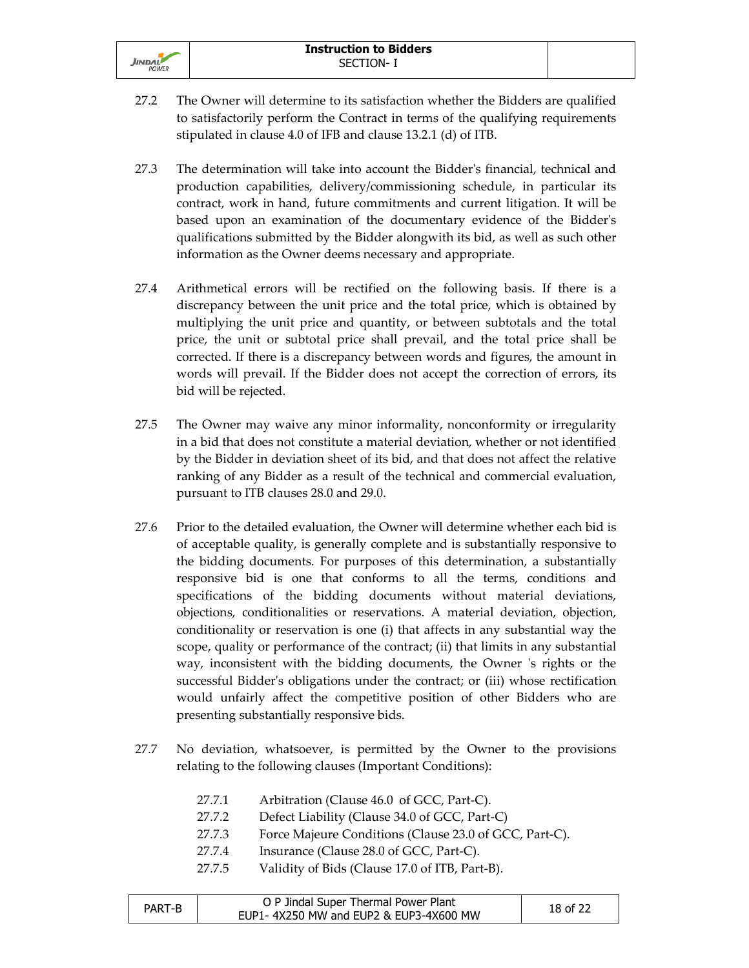

- 27.2 The Owner will determine to its satisfaction whether the Bidders are qualified to satisfactorily perform the Contract in terms of the qualifying requirements stipulated in clause 4.0 of IFB and clause 13.2.1 (d) of ITB.
- 27.3 The determination will take into account the Bidder's financial, technical and production capabilities, delivery/commissioning schedule, in particular its contract, work in hand, future commitments and current litigation. It will be based upon an examination of the documentary evidence of the Bidder's qualifications submitted by the Bidder alongwith its bid, as well as such other information as the Owner deems necessary and appropriate.
- 27.4 Arithmetical errors will be rectified on the following basis. If there is a discrepancy between the unit price and the total price, which is obtained by multiplying the unit price and quantity, or between subtotals and the total price, the unit or subtotal price shall prevail, and the total price shall be corrected. If there is a discrepancy between words and figures, the amount in words will prevail. If the Bidder does not accept the correction of errors, its bid will be rejected.
- 27.5 The Owner may waive any minor informality, nonconformity or irregularity in a bid that does not constitute a material deviation, whether or not identified by the Bidder in deviation sheet of its bid, and that does not affect the relative ranking of any Bidder as a result of the technical and commercial evaluation, pursuant to ITB clauses 28.0 and 29.0.
- 27.6 Prior to the detailed evaluation, the Owner will determine whether each bid is of acceptable quality, is generally complete and is substantially responsive to the bidding documents. For purposes of this determination, a substantially responsive bid is one that conforms to all the terms, conditions and specifications of the bidding documents without material deviations, objections, conditionalities or reservations. A material deviation, objection, conditionality or reservation is one (i) that affects in any substantial way the scope, quality or performance of the contract; (ii) that limits in any substantial way, inconsistent with the bidding documents, the Owner 's rights or the successful Bidder's obligations under the contract; or (iii) whose rectification would unfairly affect the competitive position of other Bidders who are presenting substantially responsive bids.
- 27.7 No deviation, whatsoever, is permitted by the Owner to the provisions relating to the following clauses (Important Conditions):
	- 27.7.1 Arbitration (Clause 46.0 of GCC, Part-C).
	- 27.7.2 Defect Liability (Clause 34.0 of GCC, Part-C)
	- 27.7.3 Force Majeure Conditions (Clause 23.0 of GCC, Part-C).
	- 27.7.4 Insurance (Clause 28.0 of GCC, Part-C).
	- 27.7.5 Validity of Bids (Clause 17.0 of ITB, Part-B).

| PART-B | O P Jindal Super Thermal Power Plant<br>EUP1-4X250 MW and EUP2 & EUP3-4X600 MW | 18 of 22 |
|--------|--------------------------------------------------------------------------------|----------|
|        |                                                                                |          |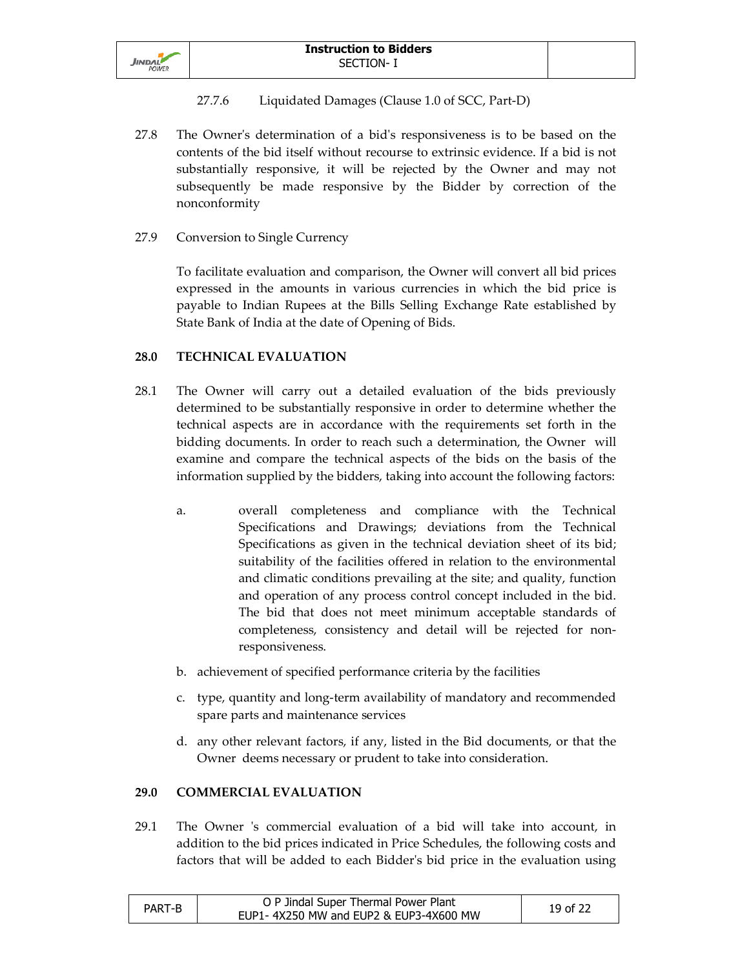

- 27.7.6 Liquidated Damages (Clause 1.0 of SCC, Part-D)
- 27.8 The Owner's determination of a bid's responsiveness is to be based on the contents of the bid itself without recourse to extrinsic evidence. If a bid is not substantially responsive, it will be rejected by the Owner and may not subsequently be made responsive by the Bidder by correction of the nonconformity
- 27.9 Conversion to Single Currency

To facilitate evaluation and comparison, the Owner will convert all bid prices expressed in the amounts in various currencies in which the bid price is payable to Indian Rupees at the Bills Selling Exchange Rate established by State Bank of India at the date of Opening of Bids.

## **28.0 TECHNICAL EVALUATION**

- 28.1 The Owner will carry out a detailed evaluation of the bids previously determined to be substantially responsive in order to determine whether the technical aspects are in accordance with the requirements set forth in the bidding documents. In order to reach such a determination, the Owner will examine and compare the technical aspects of the bids on the basis of the information supplied by the bidders, taking into account the following factors:
	- a. overall completeness and compliance with the Technical Specifications and Drawings; deviations from the Technical Specifications as given in the technical deviation sheet of its bid; suitability of the facilities offered in relation to the environmental and climatic conditions prevailing at the site; and quality, function and operation of any process control concept included in the bid. The bid that does not meet minimum acceptable standards of completeness, consistency and detail will be rejected for nonresponsiveness.
	- b. achievement of specified performance criteria by the facilities
	- c. type, quantity and long-term availability of mandatory and recommended spare parts and maintenance services
	- d. any other relevant factors, if any, listed in the Bid documents, or that the Owner deems necessary or prudent to take into consideration.

#### **29.0 COMMERCIAL EVALUATION**

29.1 The Owner 's commercial evaluation of a bid will take into account, in addition to the bid prices indicated in Price Schedules, the following costs and factors that will be added to each Bidder's bid price in the evaluation using

| PART-B | O P Jindal Super Thermal Power Plant   | 19 of 22 |
|--------|----------------------------------------|----------|
|        | EUP1-4X250 MW and EUP2 & EUP3-4X600 MW |          |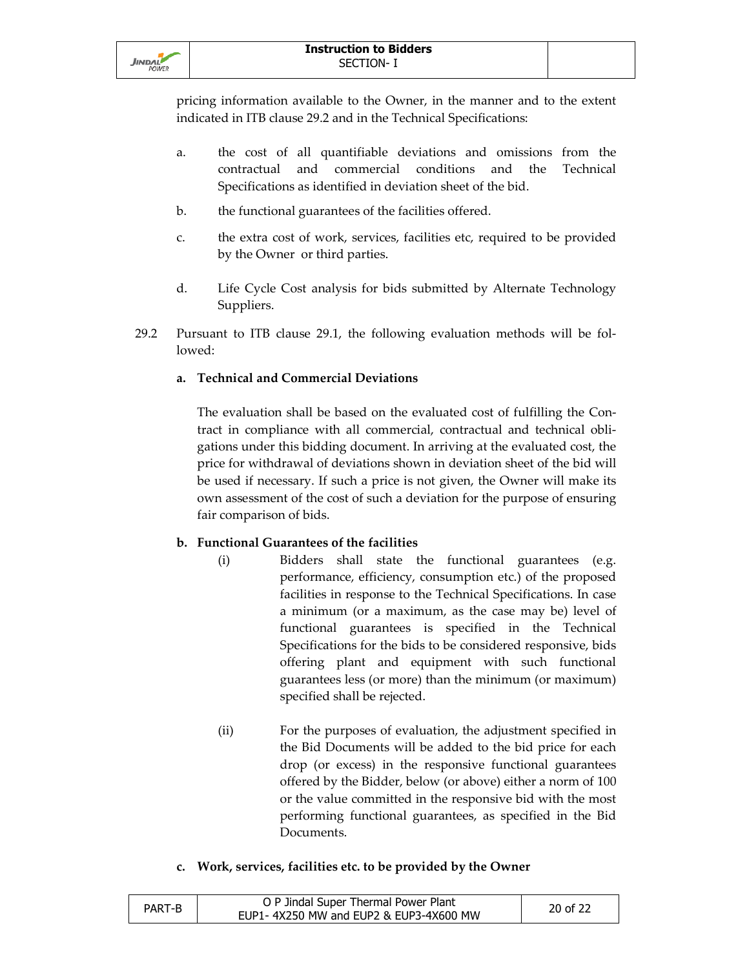

pricing information available to the Owner, in the manner and to the extent indicated in ITB clause 29.2 and in the Technical Specifications:

- a. the cost of all quantifiable deviations and omissions from the contractual and commercial conditions and the Technical Specifications as identified in deviation sheet of the bid.
- b. the functional guarantees of the facilities offered.
- c. the extra cost of work, services, facilities etc, required to be provided by the Owner or third parties.
- d. Life Cycle Cost analysis for bids submitted by Alternate Technology Suppliers.
- 29.2 Pursuant to ITB clause 29.1, the following evaluation methods will be followed:

# **a. Technical and Commercial Deviations**

The evaluation shall be based on the evaluated cost of fulfilling the Contract in compliance with all commercial, contractual and technical obligations under this bidding document. In arriving at the evaluated cost, the price for withdrawal of deviations shown in deviation sheet of the bid will be used if necessary. If such a price is not given, the Owner will make its own assessment of the cost of such a deviation for the purpose of ensuring fair comparison of bids.

## **b. Functional Guarantees of the facilities**

- (i) Bidders shall state the functional guarantees (e.g. performance, efficiency, consumption etc.) of the proposed facilities in response to the Technical Specifications. In case a minimum (or a maximum, as the case may be) level of functional guarantees is specified in the Technical Specifications for the bids to be considered responsive, bids offering plant and equipment with such functional guarantees less (or more) than the minimum (or maximum) specified shall be rejected.
- (ii) For the purposes of evaluation, the adjustment specified in the Bid Documents will be added to the bid price for each drop (or excess) in the responsive functional guarantees offered by the Bidder, below (or above) either a norm of 100 or the value committed in the responsive bid with the most performing functional guarantees, as specified in the Bid Documents.

## **c. Work, services, facilities etc. to be provided by the Owner**

| 20 of 22<br>PART-B<br>EUP1-4X250 MW and EUP2 & EUP3-4X600 MW |  | O P Jindal Super Thermal Power Plant |  |
|--------------------------------------------------------------|--|--------------------------------------|--|
|--------------------------------------------------------------|--|--------------------------------------|--|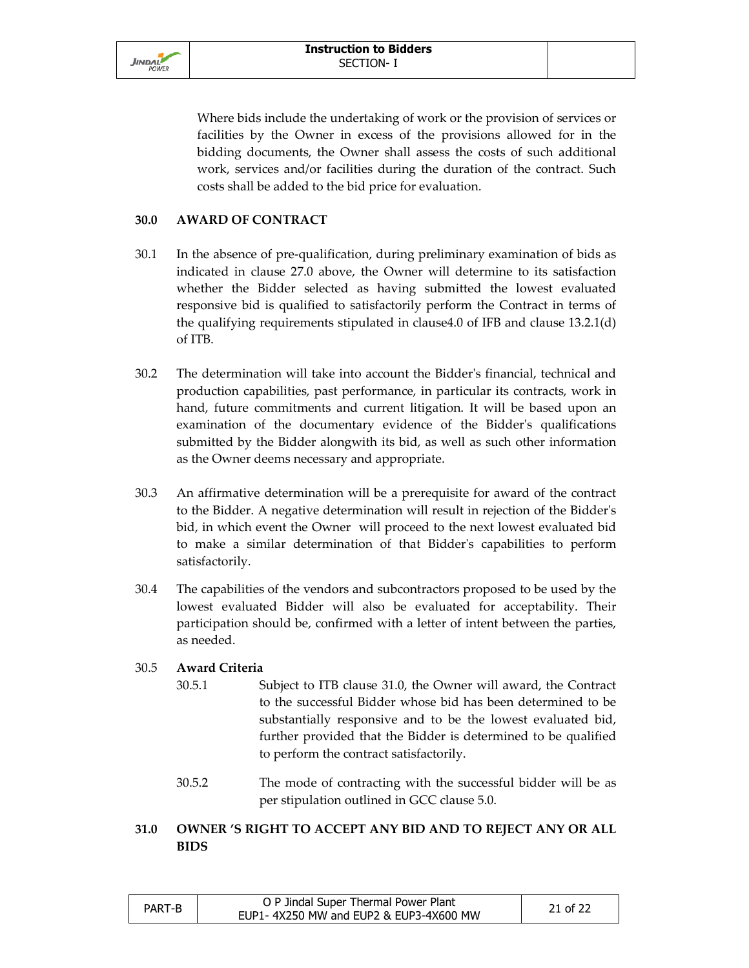

 Where bids include the undertaking of work or the provision of services or facilities by the Owner in excess of the provisions allowed for in the bidding documents, the Owner shall assess the costs of such additional work, services and/or facilities during the duration of the contract. Such costs shall be added to the bid price for evaluation.

#### **30.0 AWARD OF CONTRACT**

- 30.1 In the absence of pre-qualification, during preliminary examination of bids as indicated in clause 27.0 above, the Owner will determine to its satisfaction whether the Bidder selected as having submitted the lowest evaluated responsive bid is qualified to satisfactorily perform the Contract in terms of the qualifying requirements stipulated in clause4.0 of IFB and clause 13.2.1(d) of ITB.
- 30.2 The determination will take into account the Bidder's financial, technical and production capabilities, past performance, in particular its contracts, work in hand, future commitments and current litigation. It will be based upon an examination of the documentary evidence of the Bidder's qualifications submitted by the Bidder alongwith its bid, as well as such other information as the Owner deems necessary and appropriate.
- 30.3 An affirmative determination will be a prerequisite for award of the contract to the Bidder. A negative determination will result in rejection of the Bidder's bid, in which event the Owner will proceed to the next lowest evaluated bid to make a similar determination of that Bidder's capabilities to perform satisfactorily.
- 30.4 The capabilities of the vendors and subcontractors proposed to be used by the lowest evaluated Bidder will also be evaluated for acceptability. Their participation should be, confirmed with a letter of intent between the parties, as needed.

#### 30.5 **Award Criteria**

- 30.5.1 Subject to ITB clause 31.0, the Owner will award, the Contract to the successful Bidder whose bid has been determined to be substantially responsive and to be the lowest evaluated bid, further provided that the Bidder is determined to be qualified to perform the contract satisfactorily.
- 30.5.2 The mode of contracting with the successful bidder will be as per stipulation outlined in GCC clause 5.0.

# **31.0 OWNER 'S RIGHT TO ACCEPT ANY BID AND TO REJECT ANY OR ALL BIDS**

| PART-B | O P Jindal Super Thermal Power Plant   | 21 of 22 |
|--------|----------------------------------------|----------|
|        | EUP1-4X250 MW and EUP2 & EUP3-4X600 MW |          |